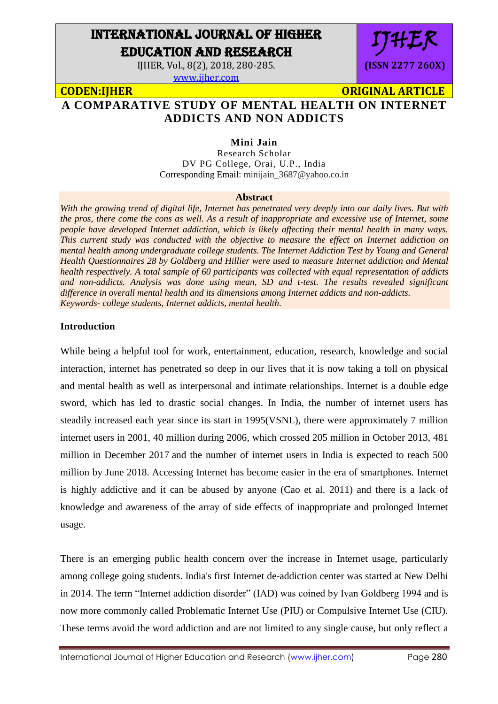# INTERNATIONAL JOURNAL OF HIGHER EDUCATION AND RESEARCH

IJHER, Vol., 8(2), 2018, 280-285.

[www.ijher.com](http://www.ijher.com/)

IJHER **(ISSN 2277 260X)**

**CODEN:IJHER ORIGINAL ARTICLE** 

# **A COMPARATIVE STUDY OF MENTAL HEALTH ON INTERNET ADDICTS AND NON ADDICTS**

## **Mini Jain**

Research Scholar DV PG College, Orai, U.P., India Corresponding Email: minijain\_3687@yahoo.co.in

#### **Abstract**

*With the growing trend of digital life, Internet has penetrated very deeply into our daily lives. But with the pros, there come the cons as well. As a result of inappropriate and excessive use of Internet, some people have developed Internet addiction, which is likely affecting their mental health in many ways. This current study was conducted with the objective to measure the effect on Internet addiction on mental health among undergraduate college students. The Internet Addiction Test by Young and General Health Questionnaires 28 by Goldberg and Hillier were used to measure Internet addiction and Mental health respectively. A total sample of 60 participants was collected with equal representation of addicts and non-addicts. Analysis was done using mean, SD and t-test. The results revealed significant difference in overall mental health and its dimensions among Internet addicts and non-addicts. Keywords- college students, Internet addicts, mental health.*

#### **Introduction**

While being a helpful tool for work, entertainment, education, research, knowledge and social interaction, internet has penetrated so deep in our lives that it is now taking a toll on physical and mental health as well as interpersonal and intimate relationships. Internet is a double edge sword, which has led to drastic social changes. In India, the number of internet users has steadily increased each year since its start in 1995(VSNL), there were approximately 7 million internet users in 2001, 40 million during 2006, which crossed 205 million in October 2013, 481 million in December 2017 and the number of internet users in India is expected to reach 500 million by June 2018. Accessing Internet has become easier in the era of smartphones. Internet is highly addictive and it can be abused by anyone (Cao et al. 2011) and there is a lack of knowledge and awareness of the array of side effects of inappropriate and prolonged Internet usage.

There is an emerging public health concern over the increase in Internet usage, particularly among college going students. India's first Internet de-addiction center was started at New Delhi in 2014. The term "Internet addiction disorder" (IAD) was coined by Ivan Goldberg 1994 and is now more commonly called Problematic Internet Use (PIU) or Compulsive Internet Use (CIU). These terms avoid the word addiction and are not limited to any single cause, but only reflect a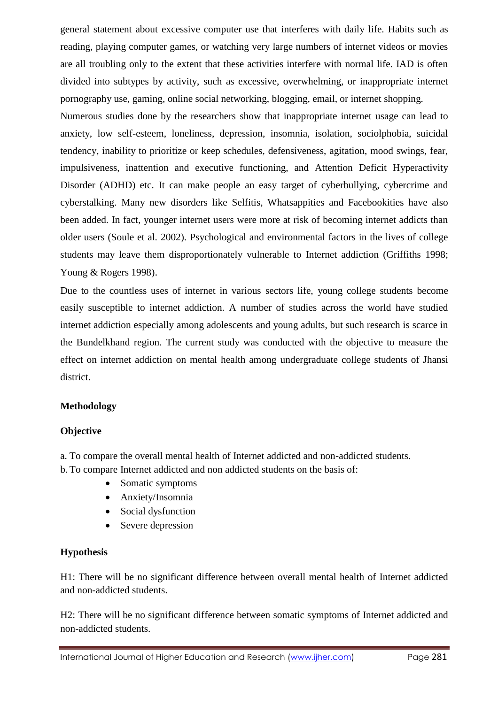general statement about excessive computer use that interferes with daily life. Habits such as reading, playing computer games, or watching very large numbers of internet videos or movies are all troubling only to the extent that these activities interfere with normal life. IAD is often divided into subtypes by activity, such as excessive, overwhelming, or inappropriate internet pornography use, gaming, online social networking, blogging, email, or internet shopping.

Numerous studies done by the researchers show that inappropriate internet usage can lead to anxiety, low self-esteem, loneliness, depression, insomnia, isolation, sociolphobia, suicidal tendency, inability to prioritize or keep schedules, defensiveness, agitation, mood swings, fear, impulsiveness, inattention and executive functioning, and Attention Deficit Hyperactivity Disorder (ADHD) etc. It can make people an easy target of cyberbullying, cybercrime and cyberstalking. Many new disorders like Selfitis, Whatsappities and Facebookities have also been added. In fact, younger internet users were more at risk of becoming internet addicts than older users (Soule et al. 2002). Psychological and environmental factors in the lives of college students may leave them disproportionately vulnerable to Internet addiction (Griffiths 1998; Young & Rogers 1998).

Due to the countless uses of internet in various sectors life, young college students become easily susceptible to internet addiction. A number of studies across the world have studied internet addiction especially among adolescents and young adults, but such research is scarce in the Bundelkhand region. The current study was conducted with the objective to measure the effect on internet addiction on mental health among undergraduate college students of Jhansi district.

## **Methodology**

## **Objective**

a. To compare the overall mental health of Internet addicted and non-addicted students.

b. To compare Internet addicted and non addicted students on the basis of:

- Somatic symptoms
- Anxiety/Insomnia
- Social dysfunction
- Severe depression

## **Hypothesis**

H1: There will be no significant difference between overall mental health of Internet addicted and non-addicted students.

H2: There will be no significant difference between somatic symptoms of Internet addicted and non-addicted students.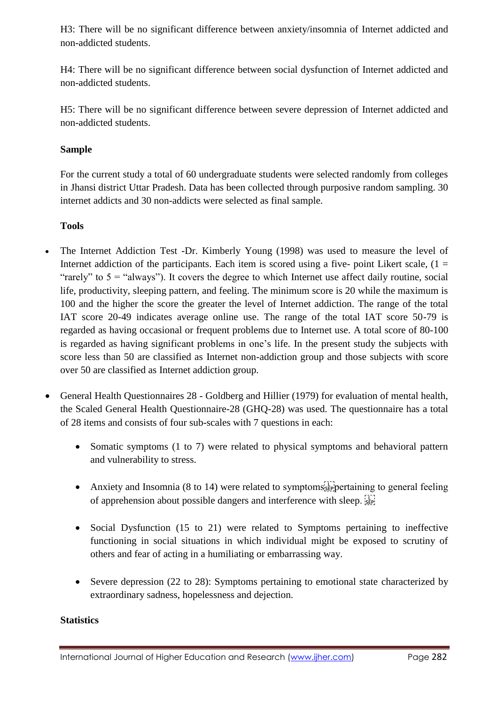H3: There will be no significant difference between anxiety/insomnia of Internet addicted and non-addicted students.

H4: There will be no significant difference between social dysfunction of Internet addicted and non-addicted students.

H5: There will be no significant difference between severe depression of Internet addicted and non-addicted students.

## **Sample**

For the current study a total of 60 undergraduate students were selected randomly from colleges in Jhansi district Uttar Pradesh. Data has been collected through purposive random sampling. 30 internet addicts and 30 non-addicts were selected as final sample.

## **Tools**

- The Internet Addiction Test -Dr. Kimberly Young (1998) was used to measure the level of Internet addiction of the participants. Each item is scored using a five- point Likert scale,  $(1 =$ "rarely" to  $5 =$  "always"). It covers the degree to which Internet use affect daily routine, social life, productivity, sleeping pattern, and feeling. The minimum score is 20 while the maximum is 100 and the higher the score the greater the level of Internet addiction. The range of the total IAT score 20-49 indicates average online use. The range of the total IAT score 50-79 is regarded as having occasional or frequent problems due to Internet use. A total score of 80-100 is regarded as having significant problems in one's life. In the present study the subjects with score less than 50 are classified as Internet non-addiction group and those subjects with score over 50 are classified as Internet addiction group.
- General Health Questionnaires 28 Goldberg and Hillier (1979) for evaluation of mental health, the Scaled General Health Questionnaire*-*28 (GHQ-28) was used. The questionnaire has a total of 28 items and consists of four sub-scales with 7 questions in each:
	- Somatic symptoms (1 to 7) were related to physical symptoms and behavioral pattern and vulnerability to stress.
	- Anxiety and Insomnia (8 to 14) were related to symptoms  $s_{\text{SE}}$  pertaining to general feeling of apprehension about possible dangers and interference with sleep.
	- Social Dysfunction (15 to 21) were related to Symptoms pertaining to ineffective functioning in social situations in which individual might be exposed to scrutiny of others and fear of acting in a humiliating or embarrassing way.
	- Severe depression (22 to 28): Symptoms pertaining to emotional state characterized by extraordinary sadness, hopelessness and dejection.

## **Statistics**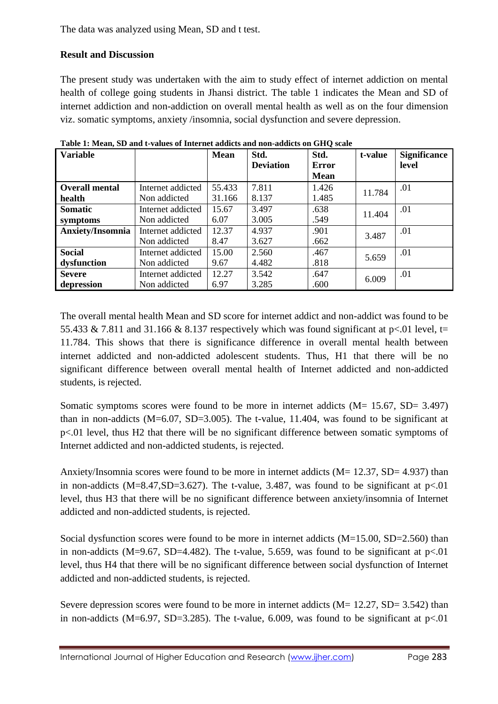# **Result and Discussion**

The present study was undertaken with the aim to study effect of internet addiction on mental health of college going students in Jhansi district. The table 1 indicates the Mean and SD of internet addiction and non-addiction on overall mental health as well as on the four dimension viz. somatic symptoms, anxiety /insomnia, social dysfunction and severe depression.

| <b>Variable</b>       |                   | <b>Mean</b> | Std.<br><b>Deviation</b> | Std.<br><b>Error</b><br><b>Mean</b> | t-value | <b>Significance</b><br>level |
|-----------------------|-------------------|-------------|--------------------------|-------------------------------------|---------|------------------------------|
|                       |                   |             |                          |                                     |         |                              |
| <b>Overall mental</b> | Internet addicted | 55.433      | 7.811                    | 1.426                               | 11.784  | .01                          |
| health                | Non addicted      | 31.166      | 8.137                    | 1.485                               |         |                              |
| <b>Somatic</b>        | Internet addicted | 15.67       | 3.497                    | .638                                | 11.404  | .01                          |
| symptoms              | Non addicted      | 6.07        | 3.005                    | .549                                |         |                              |
| Anxiety/Insomnia      | Internet addicted | 12.37       | 4.937                    | .901                                | 3.487   | .01                          |
|                       | Non addicted      | 8.47        | 3.627                    | .662                                |         |                              |
| <b>Social</b>         | Internet addicted | 15.00       | 2.560                    | .467                                | 5.659   | .01                          |
| dysfunction           | Non addicted      | 9.67        | 4.482                    | .818                                |         |                              |
| <b>Severe</b>         | Internet addicted | 12.27       | 3.542                    | .647                                | 6.009   | .01                          |
| depression            | Non addicted      | 6.97        | 3.285                    | .600                                |         |                              |

**Table 1: Mean, SD and t-values of Internet addicts and non-addicts on GHQ scale**

The overall mental health Mean and SD score for internet addict and non-addict was found to be 55.433 & 7.811 and 31.166 & 8.137 respectively which was found significant at  $p<01$  level, t= 11.784. This shows that there is significance difference in overall mental health between internet addicted and non-addicted adolescent students. Thus, H1 that there will be no significant difference between overall mental health of Internet addicted and non-addicted students, is rejected.

Somatic symptoms scores were found to be more in internet addicts (M= 15.67, SD= 3.497) than in non-addicts ( $M=6.07$ ,  $SD=3.005$ ). The t-value, 11.404, was found to be significant at p<.01 level, thus H2 that there will be no significant difference between somatic symptoms of Internet addicted and non-addicted students, is rejected.

Anxiety/Insomnia scores were found to be more in internet addicts ( $M = 12.37$ ,  $SD = 4.937$ ) than in non-addicts (M=8.47, SD=3.627). The t-value, 3.487, was found to be significant at  $p<01$ level, thus H3 that there will be no significant difference between anxiety/insomnia of Internet addicted and non-addicted students, is rejected.

Social dysfunction scores were found to be more in internet addicts (M=15.00, SD=2.560) than in non-addicts (M=9.67, SD=4.482). The t-value, 5.659, was found to be significant at  $p<01$ level, thus H4 that there will be no significant difference between social dysfunction of Internet addicted and non-addicted students, is rejected.

Severe depression scores were found to be more in internet addicts  $(M = 12.27, SD = 3.542)$  than in non-addicts (M=6.97, SD=3.285). The t-value, 6.009, was found to be significant at  $p<01$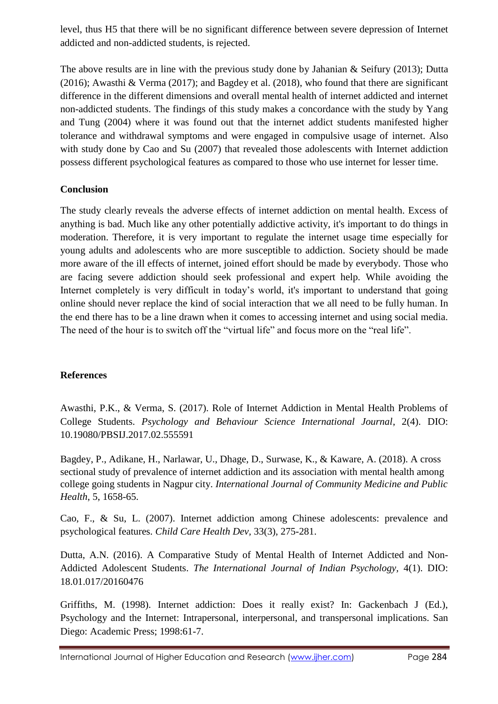level, thus H5 that there will be no significant difference between severe depression of Internet addicted and non-addicted students, is rejected.

The above results are in line with the previous study done by Jahanian & Seifury (2013); Dutta (2016); Awasthi & Verma (2017); and Bagdey et al. (2018), who found that there are significant difference in the different dimensions and overall mental health of internet addicted and internet non-addicted students. The findings of this study makes a concordance with the study by Yang and Tung (2004) where it was found out that the internet addict students manifested higher tolerance and withdrawal symptoms and were engaged in compulsive usage of internet. Also with study done by Cao and Su (2007) that revealed those adolescents with Internet addiction possess different psychological features as compared to those who use internet for lesser time.

## **Conclusion**

The study clearly reveals the adverse effects of internet addiction on mental health. Excess of anything is bad. Much like any other potentially addictive activity, it's important to do things in moderation. Therefore, it is very important to regulate the internet usage time especially for young adults and adolescents who are more susceptible to addiction. Society should be made more aware of the ill effects of internet, joined effort should be made by everybody. Those who are facing severe addiction should seek professional and expert help. While avoiding the Internet completely is very difficult in today's world, it's important to understand that going online should never replace the kind of social interaction that we all need to be fully human. In the end there has to be a line drawn when it comes to accessing internet and using social media. The need of the hour is to switch off the "virtual life" and focus more on the "real life".

## **References**

Awasthi, P.K., & Verma, S. (2017). Role of Internet Addiction in Mental Health Problems of College Students. *Psychology and Behaviour Science International Journal*, 2(4). DIO: 10.19080/PBSIJ.2017.02.555591

Bagdey, P., Adikane, H., Narlawar, U., Dhage, D., Surwase, K., & Kaware, A. (2018). A cross sectional study of prevalence of internet addiction and its association with mental health among college going students in Nagpur city. *International Journal of Community Medicine and Public Health*, 5, 1658-65.

Cao, F., & Su, L. (2007). Internet addiction among Chinese adolescents: prevalence and psychological features. *Child Care Health Dev,* 33(3), 275-281.

Dutta, A.N. (2016). A Comparative Study of Mental Health of Internet Addicted and Non-Addicted Adolescent Students. *The International Journal of Indian Psychology,* 4(1). DIO: 18.01.017/20160476

Griffiths, M. (1998). Internet addiction: Does it really exist? In: Gackenbach J (Ed.), Psychology and the Internet: Intrapersonal, interpersonal, and transpersonal implications. San Diego: Academic Press; 1998:61-7.